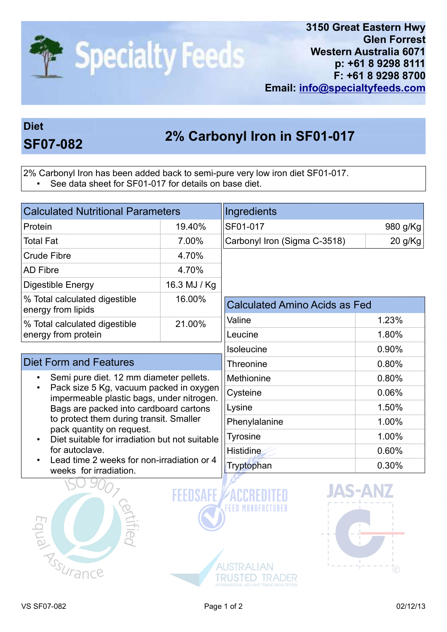

## Diet

## 2% Carbonyl Iron in SF01-017 SF07-082

2% Carbonyl Iron has been added back to semi-pure very low iron diet SF01-017.

• See data sheet for SF01-017 for details on base diet.

| <b>Calculated Nutritional Parameters</b>                                                                                                                                                                                                                                                                                                                                                      |              | Ingredients                                                                                  |          |
|-----------------------------------------------------------------------------------------------------------------------------------------------------------------------------------------------------------------------------------------------------------------------------------------------------------------------------------------------------------------------------------------------|--------------|----------------------------------------------------------------------------------------------|----------|
| Protein                                                                                                                                                                                                                                                                                                                                                                                       | 19.40%       | SF01-017                                                                                     | 980 g/Kg |
| <b>Total Fat</b>                                                                                                                                                                                                                                                                                                                                                                              | 7.00%        | Carbonyl Iron (Sigma C-3518)                                                                 | 20 g/Kg  |
| <b>Crude Fibre</b><br>4.70%                                                                                                                                                                                                                                                                                                                                                                   |              |                                                                                              |          |
| <b>AD Fibre</b>                                                                                                                                                                                                                                                                                                                                                                               | 4.70%        |                                                                                              |          |
| Digestible Energy                                                                                                                                                                                                                                                                                                                                                                             | 16.3 MJ / Kg |                                                                                              |          |
| % Total calculated digestible<br>energy from lipids                                                                                                                                                                                                                                                                                                                                           | 16.00%       | <b>Calculated Amino Acids as Fed</b>                                                         |          |
| % Total calculated digestible<br>energy from protein                                                                                                                                                                                                                                                                                                                                          | 21.00%       | Valine                                                                                       | 1.23%    |
|                                                                                                                                                                                                                                                                                                                                                                                               |              | Leucine                                                                                      | 1.80%    |
|                                                                                                                                                                                                                                                                                                                                                                                               |              | <b>Isoleucine</b>                                                                            | 0.90%    |
| <b>Diet Form and Features</b>                                                                                                                                                                                                                                                                                                                                                                 |              | Threonine                                                                                    | 0.80%    |
| Semi pure diet. 12 mm diameter pellets.<br>Pack size 5 Kg, vacuum packed in oxygen<br>impermeable plastic bags, under nitrogen.<br>Bags are packed into cardboard cartons<br>to protect them during transit. Smaller<br>pack quantity on request.<br>Diet suitable for irradiation but not suitable<br>for autoclave.<br>Lead time 2 weeks for non-irradiation or 4<br>weeks for irradiation. |              | Methionine                                                                                   | 0.80%    |
|                                                                                                                                                                                                                                                                                                                                                                                               |              | Cysteine                                                                                     | 0.06%    |
|                                                                                                                                                                                                                                                                                                                                                                                               |              | Lysine                                                                                       | 1.50%    |
|                                                                                                                                                                                                                                                                                                                                                                                               |              | Phenylalanine                                                                                | 1.00%    |
|                                                                                                                                                                                                                                                                                                                                                                                               |              | <b>Tyrosine</b>                                                                              | 1.00%    |
|                                                                                                                                                                                                                                                                                                                                                                                               |              | <b>Histidine</b>                                                                             | 0.60%    |
|                                                                                                                                                                                                                                                                                                                                                                                               |              | Tryptophan                                                                                   | 0.30%    |
| <b>ED TSSUrance</b>                                                                                                                                                                                                                                                                                                                                                                           |              | <b>JAS-A</b><br><b>AUSTRALIAN</b><br>STED TRADER<br>INTERNATIONAL AEO AND TRADE FACILITATION | C        |